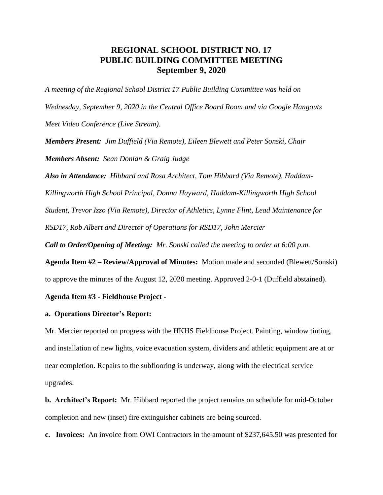# **REGIONAL SCHOOL DISTRICT NO. 17 PUBLIC BUILDING COMMITTEE MEETING September 9, 2020**

*A meeting of the Regional School District 17 Public Building Committee was held on Wednesday, September 9, 2020 in the Central Office Board Room and via Google Hangouts Meet Video Conference (Live Stream).* 

*Members Present: Jim Duffield (Via Remote), Eileen Blewett and Peter Sonski, Chair Members Absent: Sean Donlan & Graig Judge*

*Also in Attendance: Hibbard and Rosa Architect, Tom Hibbard (Via Remote), Haddam-Killingworth High School Principal, Donna Hayward, Haddam-Killingworth High School Student, Trevor Izzo (Via Remote), Director of Athletics, Lynne Flint, Lead Maintenance for RSD17, Rob Albert and Director of Operations for RSD17, John Mercier Call to Order/Opening of Meeting: Mr. Sonski called the meeting to order at 6:00 p.m.* 

**Agenda Item #2 – Review/Approval of Minutes:** Motion made and seconded (Blewett/Sonski) to approve the minutes of the August 12, 2020 meeting. Approved 2-0-1 (Duffield abstained).

## **Agenda Item #3 - Fieldhouse Project -**

### **a. Operations Director's Report:**

Mr. Mercier reported on progress with the HKHS Fieldhouse Project. Painting, window tinting, and installation of new lights, voice evacuation system, dividers and athletic equipment are at or near completion. Repairs to the subflooring is underway, along with the electrical service upgrades.

**b. Architect's Report:** Mr. Hibbard reported the project remains on schedule for mid-October completion and new (inset) fire extinguisher cabinets are being sourced.

**c. Invoices:** An invoice from OWI Contractors in the amount of \$237,645.50 was presented for